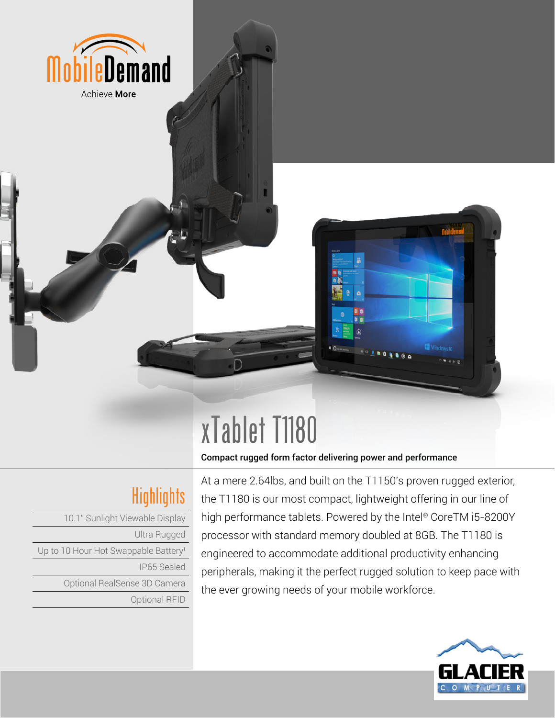

# xTablet T1180

#### Compact rugged form factor delivering power and performance

## Highlights

10.1" Sunlight Viewable Display Ultra Rugged Up to 10 Hour Hot Swappable Battery<sup>1</sup> IP65 Sealed Optional RealSense 3D Camera Optional RFID

At a mere 2.64lbs, and built on the T1150's proven rugged exterior, the T1180 is our most compact, lightweight offering in our line of high performance tablets. Powered by the Intel® CoreTM i5-8200Y processor with standard memory doubled at 8GB. The T1180 is engineered to accommodate additional productivity enhancing peripherals, making it the perfect rugged solution to keep pace with the ever growing needs of your mobile workforce.